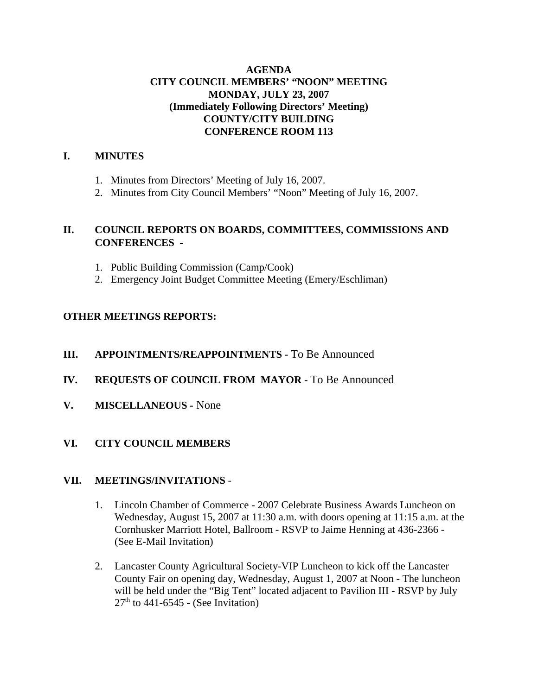## **AGENDA CITY COUNCIL MEMBERS' "NOON" MEETING MONDAY, JULY 23, 2007 (Immediately Following Directors' Meeting) COUNTY/CITY BUILDING CONFERENCE ROOM 113**

# **I. MINUTES**

- 1. Minutes from Directors' Meeting of July 16, 2007.
- 2. Minutes from City Council Members' "Noon" Meeting of July 16, 2007.

# **II. COUNCIL REPORTS ON BOARDS, COMMITTEES, COMMISSIONS AND CONFERENCES -**

- 1. Public Building Commission (Camp/Cook)
- 2. Emergency Joint Budget Committee Meeting (Emery/Eschliman)

# **OTHER MEETINGS REPORTS:**

# **III.** APPOINTMENTS/REAPPOINTMENTS - To Be Announced

- **IV. REQUESTS OF COUNCIL FROM MAYOR -** To Be Announced
- **V. MISCELLANEOUS -** None

# **VI. CITY COUNCIL MEMBERS**

# **VII. MEETINGS/INVITATIONS** -

- 1. Lincoln Chamber of Commerce 2007 Celebrate Business Awards Luncheon on Wednesday, August 15, 2007 at 11:30 a.m. with doors opening at 11:15 a.m. at the Cornhusker Marriott Hotel, Ballroom - RSVP to Jaime Henning at 436-2366 - (See E-Mail Invitation)
- 2. Lancaster County Agricultural Society-VIP Luncheon to kick off the Lancaster County Fair on opening day, Wednesday, August 1, 2007 at Noon - The luncheon will be held under the "Big Tent" located adjacent to Pavilion III - RSVP by July  $27<sup>th</sup>$  to 441-6545 - (See Invitation)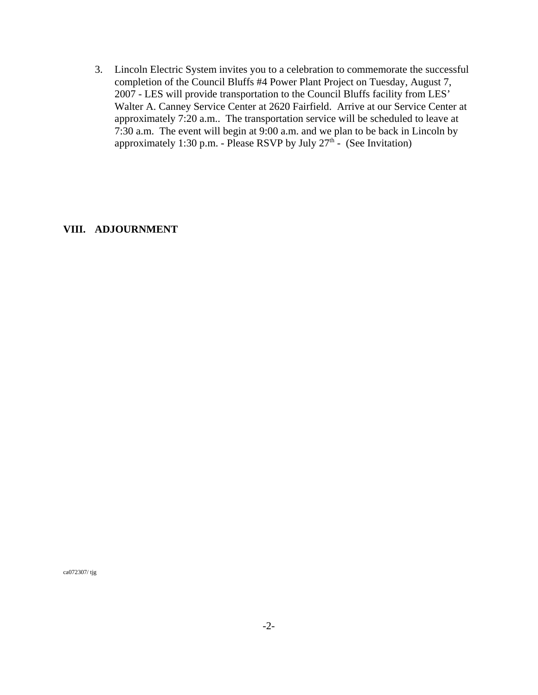3. Lincoln Electric System invites you to a celebration to commemorate the successful completion of the Council Bluffs #4 Power Plant Project on Tuesday, August 7, 2007 - LES will provide transportation to the Council Bluffs facility from LES' Walter A. Canney Service Center at 2620 Fairfield. Arrive at our Service Center at approximately 7:20 a.m.. The transportation service will be scheduled to leave at 7:30 a.m. The event will begin at 9:00 a.m. and we plan to be back in Lincoln by approximately 1:30 p.m. - Please RSVP by July  $27<sup>th</sup>$  - (See Invitation)

#### **VIII. ADJOURNMENT**

ca072307/ tjg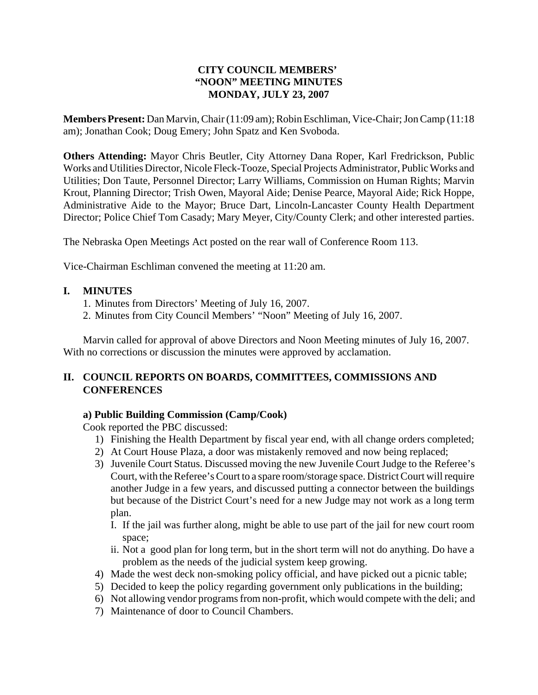# **CITY COUNCIL MEMBERS' "NOON" MEETING MINUTES MONDAY, JULY 23, 2007**

**Members Present:** Dan Marvin, Chair (11:09 am); Robin Eschliman, Vice-Chair; Jon Camp (11:18 am); Jonathan Cook; Doug Emery; John Spatz and Ken Svoboda.

**Others Attending:** Mayor Chris Beutler, City Attorney Dana Roper, Karl Fredrickson, Public Works and Utilities Director, Nicole Fleck-Tooze, Special Projects Administrator, Public Works and Utilities; Don Taute, Personnel Director; Larry Williams, Commission on Human Rights; Marvin Krout, Planning Director; Trish Owen, Mayoral Aide; Denise Pearce, Mayoral Aide; Rick Hoppe, Administrative Aide to the Mayor; Bruce Dart, Lincoln-Lancaster County Health Department Director; Police Chief Tom Casady; Mary Meyer, City/County Clerk; and other interested parties.

The Nebraska Open Meetings Act posted on the rear wall of Conference Room 113.

Vice-Chairman Eschliman convened the meeting at 11:20 am.

#### **I. MINUTES**

- 1. Minutes from Directors' Meeting of July 16, 2007.
- 2. Minutes from City Council Members' "Noon" Meeting of July 16, 2007.

Marvin called for approval of above Directors and Noon Meeting minutes of July 16, 2007. With no corrections or discussion the minutes were approved by acclamation.

# **II. COUNCIL REPORTS ON BOARDS, COMMITTEES, COMMISSIONS AND CONFERENCES**

# **a) Public Building Commission (Camp/Cook)**

Cook reported the PBC discussed:

- 1) Finishing the Health Department by fiscal year end, with all change orders completed;
- 2) At Court House Plaza, a door was mistakenly removed and now being replaced;
- 3) Juvenile Court Status. Discussed moving the new Juvenile Court Judge to the Referee's Court, with the Referee's Court to a spare room/storage space. District Court will require another Judge in a few years, and discussed putting a connector between the buildings but because of the District Court's need for a new Judge may not work as a long term plan.
	- I. If the jail was further along, might be able to use part of the jail for new court room space;
	- ii. Not a good plan for long term, but in the short term will not do anything. Do have a problem as the needs of the judicial system keep growing.
- 4) Made the west deck non-smoking policy official, and have picked out a picnic table;
- 5) Decided to keep the policy regarding government only publications in the building;
- 6) Not allowing vendor programs from non-profit, which would compete with the deli; and
- 7) Maintenance of door to Council Chambers.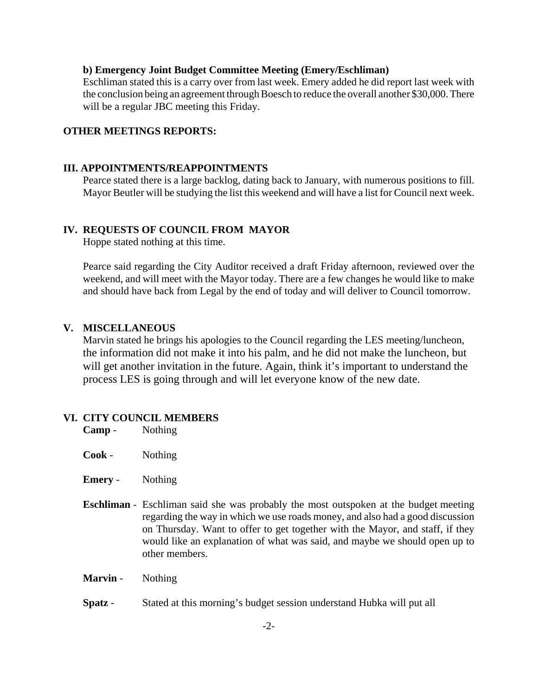#### **b) Emergency Joint Budget Committee Meeting (Emery/Eschliman)**

Eschliman stated this is a carry over from last week. Emery added he did report last week with the conclusion being an agreement through Boesch to reduce the overall another \$30,000. There will be a regular JBC meeting this Friday.

#### **OTHER MEETINGS REPORTS:**

#### **III. APPOINTMENTS/REAPPOINTMENTS**

Pearce stated there is a large backlog, dating back to January, with numerous positions to fill. Mayor Beutler will be studying the list this weekend and will have a list for Council next week.

#### **IV. REQUESTS OF COUNCIL FROM MAYOR**

Hoppe stated nothing at this time.

Pearce said regarding the City Auditor received a draft Friday afternoon, reviewed over the weekend, and will meet with the Mayor today. There are a few changes he would like to make and should have back from Legal by the end of today and will deliver to Council tomorrow.

#### **V. MISCELLANEOUS**

Marvin stated he brings his apologies to the Council regarding the LES meeting/luncheon, the information did not make it into his palm, and he did not make the luncheon, but will get another invitation in the future. Again, think it's important to understand the process LES is going through and will let everyone know of the new date.

#### **VI. CITY COUNCIL MEMBERS**

| Camp - | Nothing |
|--------|---------|
|--------|---------|

- **Cook**  Nothing
- **Emery**  Nothing
- **Eschliman**  Eschliman said she was probably the most outspoken at the budget meeting regarding the way in which we use roads money, and also had a good discussion on Thursday. Want to offer to get together with the Mayor, and staff, if they would like an explanation of what was said, and maybe we should open up to other members.
- **Marvin** Nothing
- **Spatz**  Stated at this morning's budget session understand Hubka will put all